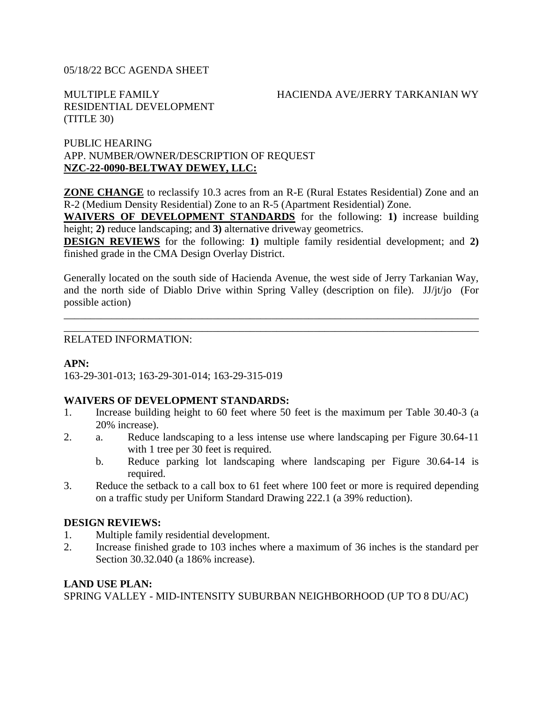#### 05/18/22 BCC AGENDA SHEET

### MULTIPLE FAMILY HACIENDA AVE/JERRY TARKANIAN WY

RESIDENTIAL DEVELOPMENT (TITLE 30)

### PUBLIC HEARING APP. NUMBER/OWNER/DESCRIPTION OF REQUEST **NZC-22-0090-BELTWAY DEWEY, LLC:**

**ZONE CHANGE** to reclassify 10.3 acres from an R-E (Rural Estates Residential) Zone and an R-2 (Medium Density Residential) Zone to an R-5 (Apartment Residential) Zone.

**WAIVERS OF DEVELOPMENT STANDARDS** for the following: **1)** increase building height; **2**) reduce landscaping; and **3**) alternative driveway geometrics.

**DESIGN REVIEWS** for the following: **1)** multiple family residential development; and **2)** finished grade in the CMA Design Overlay District.

Generally located on the south side of Hacienda Avenue, the west side of Jerry Tarkanian Way, and the north side of Diablo Drive within Spring Valley (description on file). JJ/jt/jo (For possible action)

\_\_\_\_\_\_\_\_\_\_\_\_\_\_\_\_\_\_\_\_\_\_\_\_\_\_\_\_\_\_\_\_\_\_\_\_\_\_\_\_\_\_\_\_\_\_\_\_\_\_\_\_\_\_\_\_\_\_\_\_\_\_\_\_\_\_\_\_\_\_\_\_\_\_\_\_\_\_ \_\_\_\_\_\_\_\_\_\_\_\_\_\_\_\_\_\_\_\_\_\_\_\_\_\_\_\_\_\_\_\_\_\_\_\_\_\_\_\_\_\_\_\_\_\_\_\_\_\_\_\_\_\_\_\_\_\_\_\_\_\_\_\_\_\_\_\_\_\_\_\_\_\_\_\_\_\_

### RELATED INFORMATION:

### **APN:**

163-29-301-013; 163-29-301-014; 163-29-315-019

### **WAIVERS OF DEVELOPMENT STANDARDS:**

- 1. Increase building height to 60 feet where 50 feet is the maximum per Table 30.40-3 (a 20% increase).
- 2. a. Reduce landscaping to a less intense use where landscaping per Figure 30.64-11 with 1 tree per 30 feet is required.
	- b. Reduce parking lot landscaping where landscaping per Figure 30.64-14 is required.
- 3. Reduce the setback to a call box to 61 feet where 100 feet or more is required depending on a traffic study per Uniform Standard Drawing 222.1 (a 39% reduction).

### **DESIGN REVIEWS:**

- 1. Multiple family residential development.
- 2. Increase finished grade to 103 inches where a maximum of 36 inches is the standard per Section 30.32.040 (a 186% increase).

### **LAND USE PLAN:**

SPRING VALLEY - MID-INTENSITY SUBURBAN NEIGHBORHOOD (UP TO 8 DU/AC)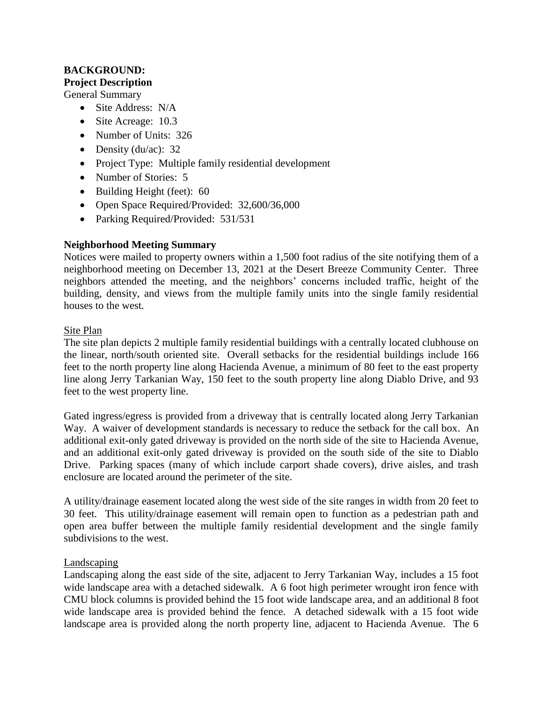# **BACKGROUND: Project Description**

General Summary

- Site Address: N/A
- Site Acreage: 10.3
- Number of Units: 326
- Density (du/ac):  $32$
- Project Type: Multiple family residential development
- Number of Stories: 5
- Building Height (feet): 60
- Open Space Required/Provided: 32,600/36,000
- Parking Required/Provided: 531/531

# **Neighborhood Meeting Summary**

Notices were mailed to property owners within a 1,500 foot radius of the site notifying them of a neighborhood meeting on December 13, 2021 at the Desert Breeze Community Center. Three neighbors attended the meeting, and the neighbors' concerns included traffic, height of the building, density, and views from the multiple family units into the single family residential houses to the west.

### Site Plan

The site plan depicts 2 multiple family residential buildings with a centrally located clubhouse on the linear, north/south oriented site. Overall setbacks for the residential buildings include 166 feet to the north property line along Hacienda Avenue, a minimum of 80 feet to the east property line along Jerry Tarkanian Way, 150 feet to the south property line along Diablo Drive, and 93 feet to the west property line.

Gated ingress/egress is provided from a driveway that is centrally located along Jerry Tarkanian Way. A waiver of development standards is necessary to reduce the setback for the call box. An additional exit-only gated driveway is provided on the north side of the site to Hacienda Avenue, and an additional exit-only gated driveway is provided on the south side of the site to Diablo Drive. Parking spaces (many of which include carport shade covers), drive aisles, and trash enclosure are located around the perimeter of the site.

A utility/drainage easement located along the west side of the site ranges in width from 20 feet to 30 feet. This utility/drainage easement will remain open to function as a pedestrian path and open area buffer between the multiple family residential development and the single family subdivisions to the west.

### Landscaping

Landscaping along the east side of the site, adjacent to Jerry Tarkanian Way, includes a 15 foot wide landscape area with a detached sidewalk. A 6 foot high perimeter wrought iron fence with CMU block columns is provided behind the 15 foot wide landscape area, and an additional 8 foot wide landscape area is provided behind the fence. A detached sidewalk with a 15 foot wide landscape area is provided along the north property line, adjacent to Hacienda Avenue. The 6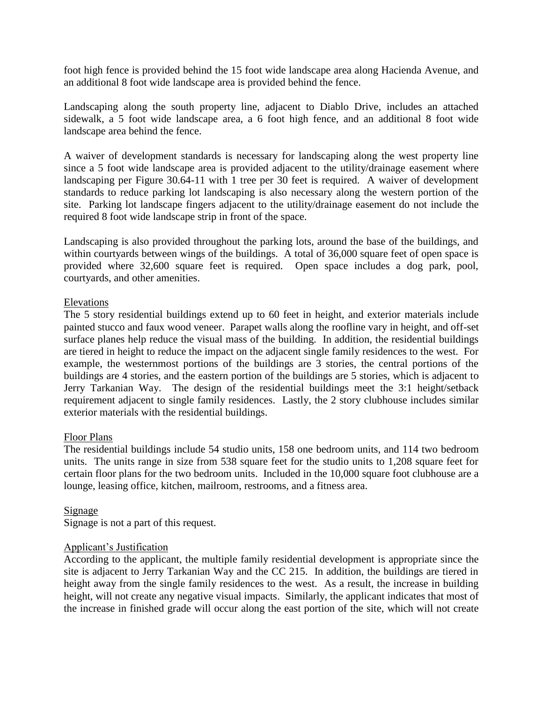foot high fence is provided behind the 15 foot wide landscape area along Hacienda Avenue, and an additional 8 foot wide landscape area is provided behind the fence.

Landscaping along the south property line, adjacent to Diablo Drive, includes an attached sidewalk, a 5 foot wide landscape area, a 6 foot high fence, and an additional 8 foot wide landscape area behind the fence.

A waiver of development standards is necessary for landscaping along the west property line since a 5 foot wide landscape area is provided adjacent to the utility/drainage easement where landscaping per Figure 30.64-11 with 1 tree per 30 feet is required. A waiver of development standards to reduce parking lot landscaping is also necessary along the western portion of the site. Parking lot landscape fingers adjacent to the utility/drainage easement do not include the required 8 foot wide landscape strip in front of the space.

Landscaping is also provided throughout the parking lots, around the base of the buildings, and within courtyards between wings of the buildings. A total of 36,000 square feet of open space is provided where 32,600 square feet is required. Open space includes a dog park, pool, courtyards, and other amenities.

### Elevations

The 5 story residential buildings extend up to 60 feet in height, and exterior materials include painted stucco and faux wood veneer. Parapet walls along the roofline vary in height, and off-set surface planes help reduce the visual mass of the building. In addition, the residential buildings are tiered in height to reduce the impact on the adjacent single family residences to the west. For example, the westernmost portions of the buildings are 3 stories, the central portions of the buildings are 4 stories, and the eastern portion of the buildings are 5 stories, which is adjacent to Jerry Tarkanian Way. The design of the residential buildings meet the 3:1 height/setback requirement adjacent to single family residences. Lastly, the 2 story clubhouse includes similar exterior materials with the residential buildings.

### Floor Plans

The residential buildings include 54 studio units, 158 one bedroom units, and 114 two bedroom units. The units range in size from 538 square feet for the studio units to 1,208 square feet for certain floor plans for the two bedroom units. Included in the 10,000 square foot clubhouse are a lounge, leasing office, kitchen, mailroom, restrooms, and a fitness area.

### Signage

Signage is not a part of this request.

### Applicant's Justification

According to the applicant, the multiple family residential development is appropriate since the site is adjacent to Jerry Tarkanian Way and the CC 215. In addition, the buildings are tiered in height away from the single family residences to the west. As a result, the increase in building height, will not create any negative visual impacts. Similarly, the applicant indicates that most of the increase in finished grade will occur along the east portion of the site, which will not create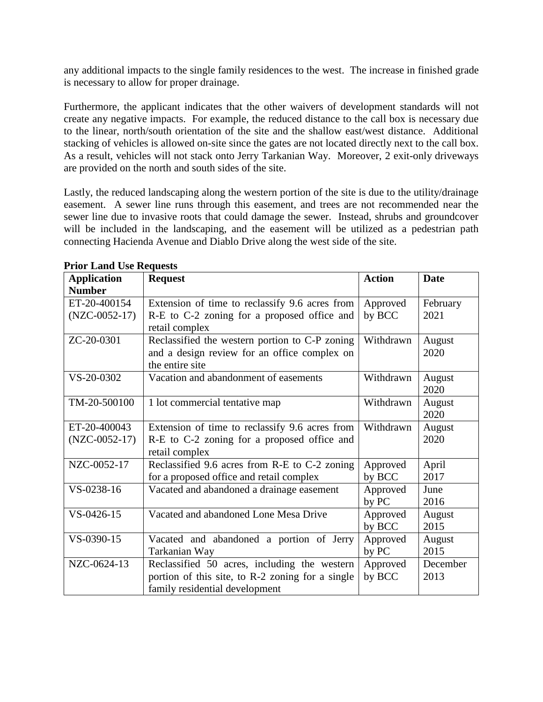any additional impacts to the single family residences to the west. The increase in finished grade is necessary to allow for proper drainage.

Furthermore, the applicant indicates that the other waivers of development standards will not create any negative impacts. For example, the reduced distance to the call box is necessary due to the linear, north/south orientation of the site and the shallow east/west distance. Additional stacking of vehicles is allowed on-site since the gates are not located directly next to the call box. As a result, vehicles will not stack onto Jerry Tarkanian Way. Moreover, 2 exit-only driveways are provided on the north and south sides of the site.

Lastly, the reduced landscaping along the western portion of the site is due to the utility/drainage easement. A sewer line runs through this easement, and trees are not recommended near the sewer line due to invasive roots that could damage the sewer. Instead, shrubs and groundcover will be included in the landscaping, and the easement will be utilized as a pedestrian path connecting Hacienda Avenue and Diablo Drive along the west side of the site.

| <b>Application</b> | <b>Request</b>                                   | <b>Action</b> | <b>Date</b>    |
|--------------------|--------------------------------------------------|---------------|----------------|
| <b>Number</b>      |                                                  |               |                |
| ET-20-400154       | Extension of time to reclassify 9.6 acres from   | Approved      | February       |
| $(NZC-0052-17)$    | R-E to C-2 zoning for a proposed office and      | by BCC        | 2021           |
|                    | retail complex                                   |               |                |
| ZC-20-0301         | Reclassified the western portion to C-P zoning   | Withdrawn     | August         |
|                    | and a design review for an office complex on     |               | 2020           |
|                    | the entire site                                  |               |                |
| VS-20-0302         | Vacation and abandonment of easements            | Withdrawn     | August<br>2020 |
| TM-20-500100       | 1 lot commercial tentative map                   | Withdrawn     | August         |
|                    |                                                  |               | 2020           |
| ET-20-400043       | Extension of time to reclassify 9.6 acres from   | Withdrawn     | August         |
| $(NZC-0052-17)$    | R-E to C-2 zoning for a proposed office and      |               | 2020           |
|                    | retail complex                                   |               |                |
| NZC-0052-17        | Reclassified 9.6 acres from R-E to C-2 zoning    | Approved      | April          |
|                    | for a proposed office and retail complex         | by BCC        | 2017           |
| VS-0238-16         | Vacated and abandoned a drainage easement        | Approved      | June           |
|                    |                                                  | by PC         | 2016           |
| VS-0426-15         | Vacated and abandoned Lone Mesa Drive            | Approved      | August         |
|                    |                                                  | by BCC        | 2015           |
| VS-0390-15         | Vacated and abandoned a portion of Jerry         | Approved      | August         |
|                    | Tarkanian Way                                    | by PC         | 2015           |
| NZC-0624-13        | Reclassified 50 acres, including the western     | Approved      | December       |
|                    | portion of this site, to R-2 zoning for a single | by BCC        | 2013           |
|                    | family residential development                   |               |                |

**Prior Land Use Requests**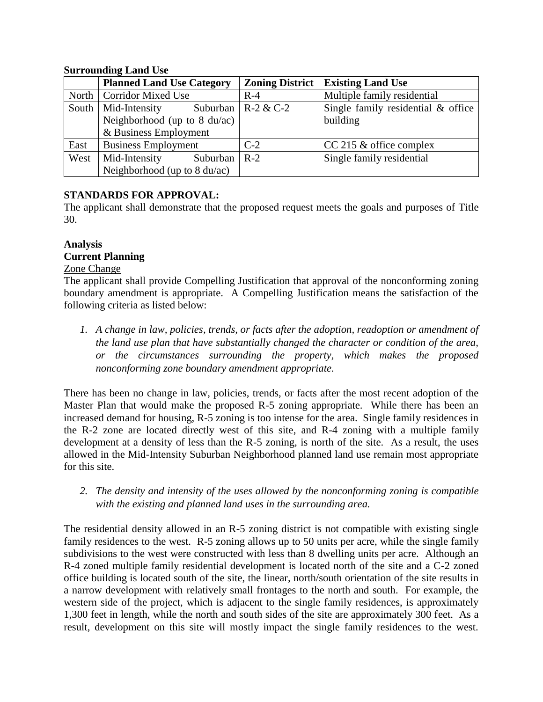## **Surrounding Land Use**

|      | <b>Planned Land Use Category</b>               | <b>Zoning District</b> | <b>Existing Land Use</b>           |  |
|------|------------------------------------------------|------------------------|------------------------------------|--|
|      | North   Corridor Mixed Use                     | $R-4$                  | Multiple family residential        |  |
|      | South   Mid-Intensity<br>Suburban              | $R - 2 & C - 2$        | Single family residential & office |  |
|      | Neighborhood (up to $8 \text{ du}/\text{ac}$ ) |                        | building                           |  |
|      | & Business Employment                          |                        |                                    |  |
| East | <b>Business Employment</b>                     | $C-2$                  | $CC$ 215 $\&$ office complex       |  |
| West | Mid-Intensity<br>Suburban                      | $R-2$                  | Single family residential          |  |
|      | Neighborhood (up to 8 du/ac)                   |                        |                                    |  |

# **STANDARDS FOR APPROVAL:**

The applicant shall demonstrate that the proposed request meets the goals and purposes of Title 30.

## **Analysis Current Planning**

## Zone Change

The applicant shall provide Compelling Justification that approval of the nonconforming zoning boundary amendment is appropriate. A Compelling Justification means the satisfaction of the following criteria as listed below:

*1. A change in law, policies, trends, or facts after the adoption, readoption or amendment of the land use plan that have substantially changed the character or condition of the area, or the circumstances surrounding the property, which makes the proposed nonconforming zone boundary amendment appropriate.*

There has been no change in law, policies, trends, or facts after the most recent adoption of the Master Plan that would make the proposed R-5 zoning appropriate. While there has been an increased demand for housing, R-5 zoning is too intense for the area. Single family residences in the R-2 zone are located directly west of this site, and R-4 zoning with a multiple family development at a density of less than the R-5 zoning, is north of the site. As a result, the uses allowed in the Mid-Intensity Suburban Neighborhood planned land use remain most appropriate for this site.

*2. The density and intensity of the uses allowed by the nonconforming zoning is compatible with the existing and planned land uses in the surrounding area.*

The residential density allowed in an R-5 zoning district is not compatible with existing single family residences to the west. R-5 zoning allows up to 50 units per acre, while the single family subdivisions to the west were constructed with less than 8 dwelling units per acre. Although an R-4 zoned multiple family residential development is located north of the site and a C-2 zoned office building is located south of the site, the linear, north/south orientation of the site results in a narrow development with relatively small frontages to the north and south. For example, the western side of the project, which is adjacent to the single family residences, is approximately 1,300 feet in length, while the north and south sides of the site are approximately 300 feet. As a result, development on this site will mostly impact the single family residences to the west.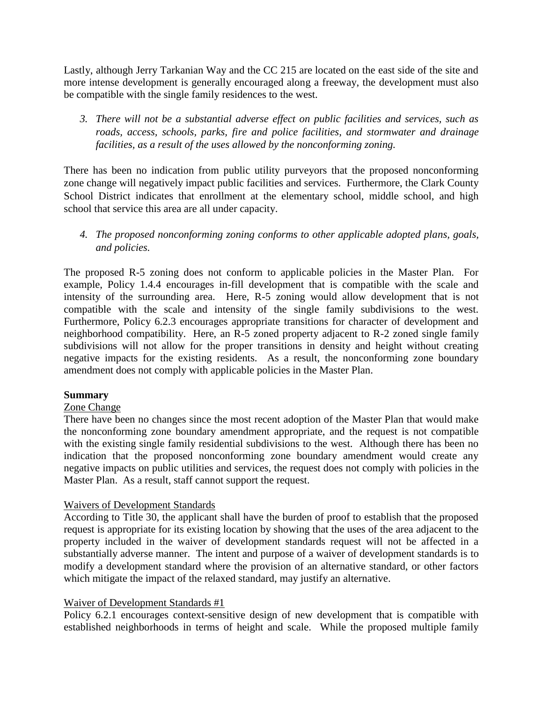Lastly, although Jerry Tarkanian Way and the CC 215 are located on the east side of the site and more intense development is generally encouraged along a freeway, the development must also be compatible with the single family residences to the west.

*3. There will not be a substantial adverse effect on public facilities and services, such as roads, access, schools, parks, fire and police facilities, and stormwater and drainage facilities, as a result of the uses allowed by the nonconforming zoning.*

There has been no indication from public utility purveyors that the proposed nonconforming zone change will negatively impact public facilities and services. Furthermore, the Clark County School District indicates that enrollment at the elementary school, middle school, and high school that service this area are all under capacity.

*4. The proposed nonconforming zoning conforms to other applicable adopted plans, goals, and policies.*

The proposed R-5 zoning does not conform to applicable policies in the Master Plan. For example, Policy 1.4.4 encourages in-fill development that is compatible with the scale and intensity of the surrounding area. Here, R-5 zoning would allow development that is not compatible with the scale and intensity of the single family subdivisions to the west. Furthermore, Policy 6.2.3 encourages appropriate transitions for character of development and neighborhood compatibility. Here, an R-5 zoned property adjacent to R-2 zoned single family subdivisions will not allow for the proper transitions in density and height without creating negative impacts for the existing residents. As a result, the nonconforming zone boundary amendment does not comply with applicable policies in the Master Plan.

### **Summary**

### Zone Change

There have been no changes since the most recent adoption of the Master Plan that would make the nonconforming zone boundary amendment appropriate, and the request is not compatible with the existing single family residential subdivisions to the west. Although there has been no indication that the proposed nonconforming zone boundary amendment would create any negative impacts on public utilities and services, the request does not comply with policies in the Master Plan. As a result, staff cannot support the request.

### Waivers of Development Standards

According to Title 30, the applicant shall have the burden of proof to establish that the proposed request is appropriate for its existing location by showing that the uses of the area adjacent to the property included in the waiver of development standards request will not be affected in a substantially adverse manner. The intent and purpose of a waiver of development standards is to modify a development standard where the provision of an alternative standard, or other factors which mitigate the impact of the relaxed standard, may justify an alternative.

### Waiver of Development Standards #1

Policy 6.2.1 encourages context-sensitive design of new development that is compatible with established neighborhoods in terms of height and scale. While the proposed multiple family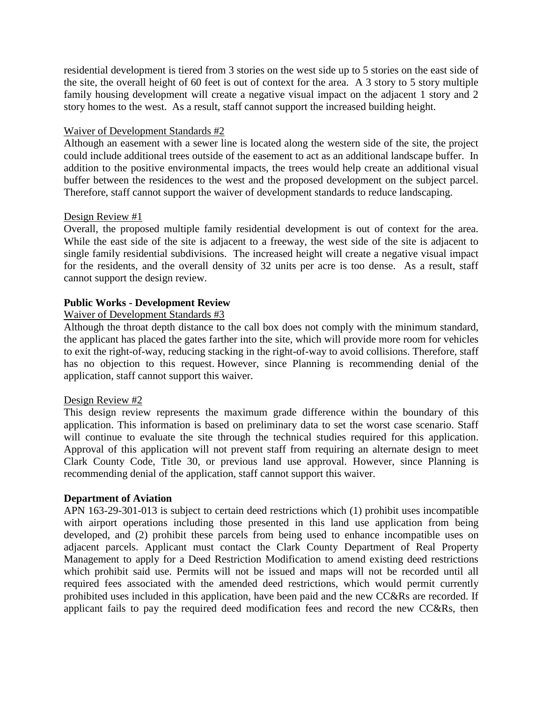residential development is tiered from 3 stories on the west side up to 5 stories on the east side of the site, the overall height of 60 feet is out of context for the area. A 3 story to 5 story multiple family housing development will create a negative visual impact on the adjacent 1 story and 2 story homes to the west. As a result, staff cannot support the increased building height.

#### Waiver of Development Standards #2

Although an easement with a sewer line is located along the western side of the site, the project could include additional trees outside of the easement to act as an additional landscape buffer. In addition to the positive environmental impacts, the trees would help create an additional visual buffer between the residences to the west and the proposed development on the subject parcel. Therefore, staff cannot support the waiver of development standards to reduce landscaping.

#### Design Review #1

Overall, the proposed multiple family residential development is out of context for the area. While the east side of the site is adjacent to a freeway, the west side of the site is adjacent to single family residential subdivisions. The increased height will create a negative visual impact for the residents, and the overall density of 32 units per acre is too dense. As a result, staff cannot support the design review.

### **Public Works - Development Review**

### Waiver of Development Standards #3

Although the throat depth distance to the call box does not comply with the minimum standard, the applicant has placed the gates farther into the site, which will provide more room for vehicles to exit the right-of-way, reducing stacking in the right-of-way to avoid collisions. Therefore, staff has no objection to this request. However, since Planning is recommending denial of the application, staff cannot support this waiver.

#### Design Review #2

This design review represents the maximum grade difference within the boundary of this application. This information is based on preliminary data to set the worst case scenario. Staff will continue to evaluate the site through the technical studies required for this application. Approval of this application will not prevent staff from requiring an alternate design to meet Clark County Code, Title 30, or previous land use approval. However, since Planning is recommending denial of the application, staff cannot support this waiver.

#### **Department of Aviation**

APN 163-29-301-013 is subject to certain deed restrictions which (1) prohibit uses incompatible with airport operations including those presented in this land use application from being developed, and (2) prohibit these parcels from being used to enhance incompatible uses on adjacent parcels. Applicant must contact the Clark County Department of Real Property Management to apply for a Deed Restriction Modification to amend existing deed restrictions which prohibit said use. Permits will not be issued and maps will not be recorded until all required fees associated with the amended deed restrictions, which would permit currently prohibited uses included in this application, have been paid and the new CC&Rs are recorded. If applicant fails to pay the required deed modification fees and record the new CC&Rs, then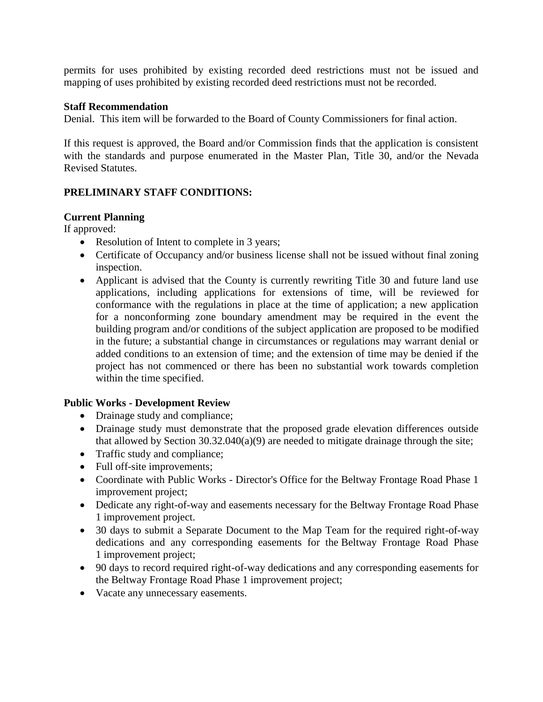permits for uses prohibited by existing recorded deed restrictions must not be issued and mapping of uses prohibited by existing recorded deed restrictions must not be recorded.

### **Staff Recommendation**

Denial. This item will be forwarded to the Board of County Commissioners for final action.

If this request is approved, the Board and/or Commission finds that the application is consistent with the standards and purpose enumerated in the Master Plan, Title 30, and/or the Nevada Revised Statutes.

# **PRELIMINARY STAFF CONDITIONS:**

# **Current Planning**

If approved:

- Resolution of Intent to complete in 3 years;
- Certificate of Occupancy and/or business license shall not be issued without final zoning inspection.
- Applicant is advised that the County is currently rewriting Title 30 and future land use applications, including applications for extensions of time, will be reviewed for conformance with the regulations in place at the time of application; a new application for a nonconforming zone boundary amendment may be required in the event the building program and/or conditions of the subject application are proposed to be modified in the future; a substantial change in circumstances or regulations may warrant denial or added conditions to an extension of time; and the extension of time may be denied if the project has not commenced or there has been no substantial work towards completion within the time specified.

# **Public Works - Development Review**

- Drainage study and compliance;
- Drainage study must demonstrate that the proposed grade elevation differences outside that allowed by Section  $30.32.040(a)(9)$  are needed to mitigate drainage through the site;
- Traffic study and compliance;
- Full off-site improvements;
- Coordinate with Public Works Director's Office for the Beltway Frontage Road Phase 1 improvement project;
- Dedicate any right-of-way and easements necessary for the Beltway Frontage Road Phase 1 improvement project.
- 30 days to submit a Separate Document to the Map Team for the required right-of-way dedications and any corresponding easements for the Beltway Frontage Road Phase 1 improvement project;
- 90 days to record required right-of-way dedications and any corresponding easements for the Beltway Frontage Road Phase 1 improvement project;
- Vacate any unnecessary easements.